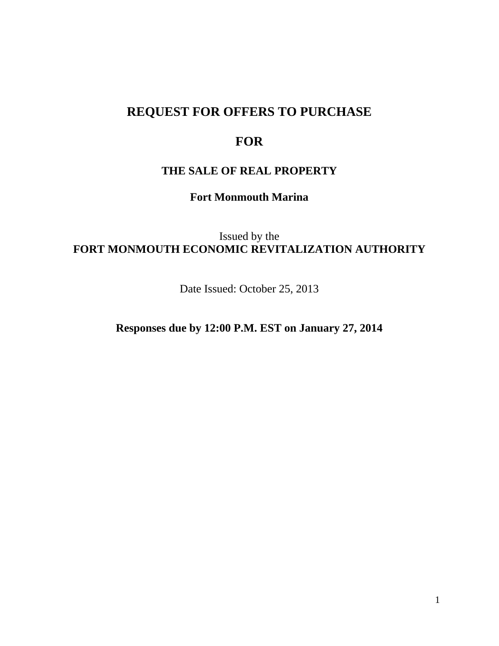# **REQUEST FOR OFFERS TO PURCHASE**

# **FOR**

# **THE SALE OF REAL PROPERTY**

**Fort Monmouth Marina** 

Issued by the **FORT MONMOUTH ECONOMIC REVITALIZATION AUTHORITY** 

Date Issued: October 25, 2013

**Responses due by 12:00 P.M. EST on January 27, 2014**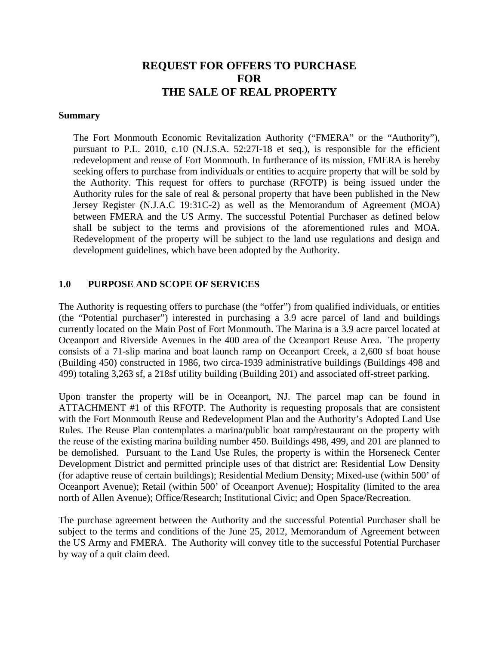# **REQUEST FOR OFFERS TO PURCHASE FOR THE SALE OF REAL PROPERTY**

#### **Summary**

The Fort Monmouth Economic Revitalization Authority ("FMERA" or the "Authority"), pursuant to P.L. 2010, c.10 (N.J.S.A. 52:27I-18 et seq.), is responsible for the efficient redevelopment and reuse of Fort Monmouth. In furtherance of its mission, FMERA is hereby seeking offers to purchase from individuals or entities to acquire property that will be sold by the Authority. This request for offers to purchase (RFOTP) is being issued under the Authority rules for the sale of real & personal property that have been published in the New Jersey Register (N.J.A.C 19:31C-2) as well as the Memorandum of Agreement (MOA) between FMERA and the US Army. The successful Potential Purchaser as defined below shall be subject to the terms and provisions of the aforementioned rules and MOA. Redevelopment of the property will be subject to the land use regulations and design and development guidelines, which have been adopted by the Authority.

#### **1.0 PURPOSE AND SCOPE OF SERVICES**

The Authority is requesting offers to purchase (the "offer") from qualified individuals, or entities (the "Potential purchaser") interested in purchasing a 3.9 acre parcel of land and buildings currently located on the Main Post of Fort Monmouth. The Marina is a 3.9 acre parcel located at Oceanport and Riverside Avenues in the 400 area of the Oceanport Reuse Area. The property consists of a 71-slip marina and boat launch ramp on Oceanport Creek, a 2,600 sf boat house (Building 450) constructed in 1986, two circa-1939 administrative buildings (Buildings 498 and 499) totaling 3,263 sf, a 218sf utility building (Building 201) and associated off-street parking.

Upon transfer the property will be in Oceanport, NJ. The parcel map can be found in ATTACHMENT #1 of this RFOTP. The Authority is requesting proposals that are consistent with the Fort Monmouth Reuse and Redevelopment Plan and the Authority's Adopted Land Use Rules. The Reuse Plan contemplates a marina/public boat ramp/restaurant on the property with the reuse of the existing marina building number 450. Buildings 498, 499, and 201 are planned to be demolished. Pursuant to the Land Use Rules, the property is within the Horseneck Center Development District and permitted principle uses of that district are: Residential Low Density (for adaptive reuse of certain buildings); Residential Medium Density; Mixed-use (within 500' of Oceanport Avenue); Retail (within 500' of Oceanport Avenue); Hospitality (limited to the area north of Allen Avenue); Office/Research; Institutional Civic; and Open Space/Recreation.

The purchase agreement between the Authority and the successful Potential Purchaser shall be subject to the terms and conditions of the June 25, 2012, Memorandum of Agreement between the US Army and FMERA. The Authority will convey title to the successful Potential Purchaser by way of a quit claim deed.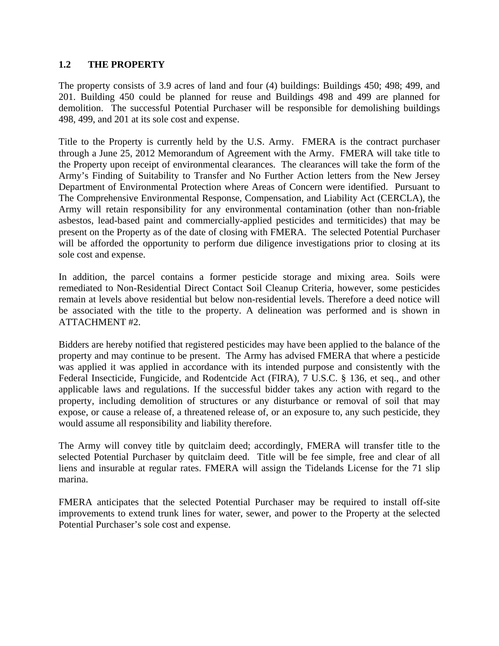#### **1.2 THE PROPERTY**

The property consists of 3.9 acres of land and four (4) buildings: Buildings 450; 498; 499, and 201. Building 450 could be planned for reuse and Buildings 498 and 499 are planned for demolition. The successful Potential Purchaser will be responsible for demolishing buildings 498, 499, and 201 at its sole cost and expense.

Title to the Property is currently held by the U.S. Army. FMERA is the contract purchaser through a June 25, 2012 Memorandum of Agreement with the Army. FMERA will take title to the Property upon receipt of environmental clearances. The clearances will take the form of the Army's Finding of Suitability to Transfer and No Further Action letters from the New Jersey Department of Environmental Protection where Areas of Concern were identified. Pursuant to The Comprehensive Environmental Response, Compensation, and Liability Act (CERCLA), the Army will retain responsibility for any environmental contamination (other than non-friable asbestos, lead-based paint and commercially-applied pesticides and termiticides) that may be present on the Property as of the date of closing with FMERA. The selected Potential Purchaser will be afforded the opportunity to perform due diligence investigations prior to closing at its sole cost and expense.

In addition, the parcel contains a former pesticide storage and mixing area. Soils were remediated to Non-Residential Direct Contact Soil Cleanup Criteria, however, some pesticides remain at levels above residential but below non-residential levels. Therefore a deed notice will be associated with the title to the property. A delineation was performed and is shown in ATTACHMENT #2.

Bidders are hereby notified that registered pesticides may have been applied to the balance of the property and may continue to be present. The Army has advised FMERA that where a pesticide was applied it was applied in accordance with its intended purpose and consistently with the Federal Insecticide, Fungicide, and Rodentcide Act (FIRA), 7 U.S.C. § 136, et seq., and other applicable laws and regulations. If the successful bidder takes any action with regard to the property, including demolition of structures or any disturbance or removal of soil that may expose, or cause a release of, a threatened release of, or an exposure to, any such pesticide, they would assume all responsibility and liability therefore.

The Army will convey title by quitclaim deed; accordingly, FMERA will transfer title to the selected Potential Purchaser by quitclaim deed. Title will be fee simple, free and clear of all liens and insurable at regular rates. FMERA will assign the Tidelands License for the 71 slip marina.

FMERA anticipates that the selected Potential Purchaser may be required to install off-site improvements to extend trunk lines for water, sewer, and power to the Property at the selected Potential Purchaser's sole cost and expense.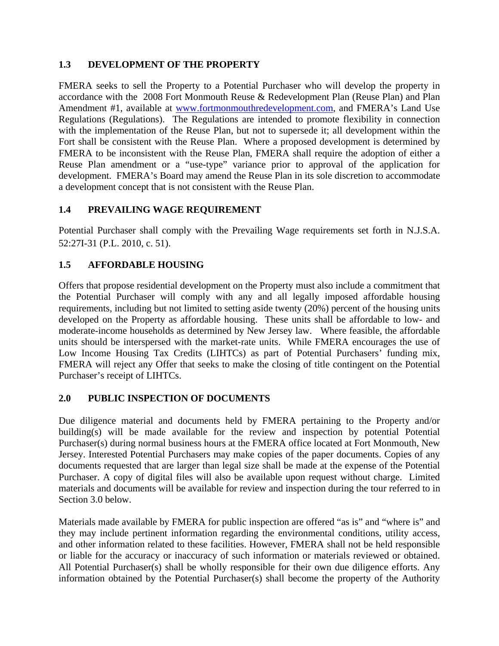### **1.3 DEVELOPMENT OF THE PROPERTY**

FMERA seeks to sell the Property to a Potential Purchaser who will develop the property in accordance with the 2008 Fort Monmouth Reuse & Redevelopment Plan (Reuse Plan) and Plan Amendment #1, available at www.fortmonmouthredevelopment.com, and FMERA's Land Use Regulations (Regulations). The Regulations are intended to promote flexibility in connection with the implementation of the Reuse Plan, but not to supersede it; all development within the Fort shall be consistent with the Reuse Plan. Where a proposed development is determined by FMERA to be inconsistent with the Reuse Plan, FMERA shall require the adoption of either a Reuse Plan amendment or a "use-type" variance prior to approval of the application for development. FMERA's Board may amend the Reuse Plan in its sole discretion to accommodate a development concept that is not consistent with the Reuse Plan.

## **1.4 PREVAILING WAGE REQUIREMENT**

Potential Purchaser shall comply with the Prevailing Wage requirements set forth in N.J.S.A. 52:27I-31 (P.L. 2010, c. 51).

## **1.5 AFFORDABLE HOUSING**

Offers that propose residential development on the Property must also include a commitment that the Potential Purchaser will comply with any and all legally imposed affordable housing requirements, including but not limited to setting aside twenty (20%) percent of the housing units developed on the Property as affordable housing. These units shall be affordable to low- and moderate-income households as determined by New Jersey law. Where feasible, the affordable units should be interspersed with the market-rate units. While FMERA encourages the use of Low Income Housing Tax Credits (LIHTCs) as part of Potential Purchasers' funding mix, FMERA will reject any Offer that seeks to make the closing of title contingent on the Potential Purchaser's receipt of LIHTCs.

### **2.0 PUBLIC INSPECTION OF DOCUMENTS**

Due diligence material and documents held by FMERA pertaining to the Property and/or building(s) will be made available for the review and inspection by potential Potential Purchaser(s) during normal business hours at the FMERA office located at Fort Monmouth, New Jersey. Interested Potential Purchasers may make copies of the paper documents. Copies of any documents requested that are larger than legal size shall be made at the expense of the Potential Purchaser. A copy of digital files will also be available upon request without charge. Limited materials and documents will be available for review and inspection during the tour referred to in Section 3.0 below.

Materials made available by FMERA for public inspection are offered "as is" and "where is" and they may include pertinent information regarding the environmental conditions, utility access, and other information related to these facilities. However, FMERA shall not be held responsible or liable for the accuracy or inaccuracy of such information or materials reviewed or obtained. All Potential Purchaser(s) shall be wholly responsible for their own due diligence efforts. Any information obtained by the Potential Purchaser(s) shall become the property of the Authority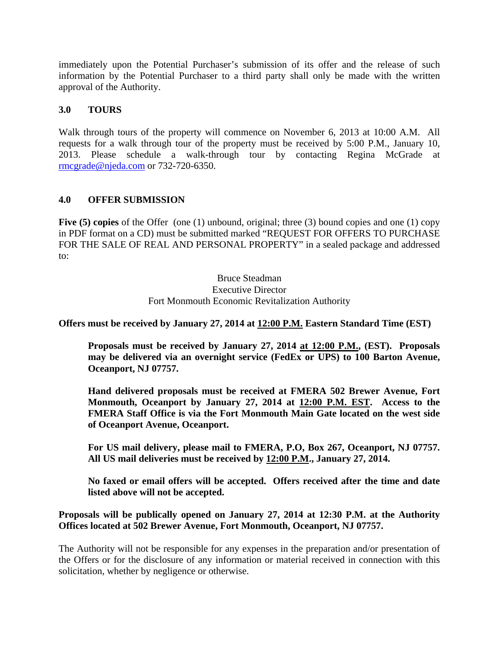immediately upon the Potential Purchaser's submission of its offer and the release of such information by the Potential Purchaser to a third party shall only be made with the written approval of the Authority.

#### **3.0 TOURS**

Walk through tours of the property will commence on November 6, 2013 at 10:00 A.M. All requests for a walk through tour of the property must be received by 5:00 P.M., January 10, 2013. Please schedule a walk-through tour by contacting Regina McGrade at rmcgrade@njeda.com or 732-720-6350.

#### **4.0 OFFER SUBMISSION**

Five (5) copies of the Offer (one (1) unbound, original; three (3) bound copies and one (1) copy in PDF format on a CD) must be submitted marked "REQUEST FOR OFFERS TO PURCHASE FOR THE SALE OF REAL AND PERSONAL PROPERTY" in a sealed package and addressed to:

#### Bruce Steadman Executive Director Fort Monmouth Economic Revitalization Authority

**Offers must be received by January 27, 2014 at 12:00 P.M. Eastern Standard Time (EST)** 

**Proposals must be received by January 27, 2014 at 12:00 P.M., (EST). Proposals may be delivered via an overnight service (FedEx or UPS) to 100 Barton Avenue, Oceanport, NJ 07757.** 

**Hand delivered proposals must be received at FMERA 502 Brewer Avenue, Fort Monmouth, Oceanport by January 27, 2014 at 12:00 P.M. EST. Access to the FMERA Staff Office is via the Fort Monmouth Main Gate located on the west side of Oceanport Avenue, Oceanport.** 

**For US mail delivery, please mail to FMERA, P.O, Box 267, Oceanport, NJ 07757. All US mail deliveries must be received by 12:00 P.M., January 27, 2014.** 

**No faxed or email offers will be accepted. Offers received after the time and date listed above will not be accepted.** 

#### **Proposals will be publically opened on January 27, 2014 at 12:30 P.M. at the Authority Offices located at 502 Brewer Avenue, Fort Monmouth, Oceanport, NJ 07757.**

The Authority will not be responsible for any expenses in the preparation and/or presentation of the Offers or for the disclosure of any information or material received in connection with this solicitation, whether by negligence or otherwise.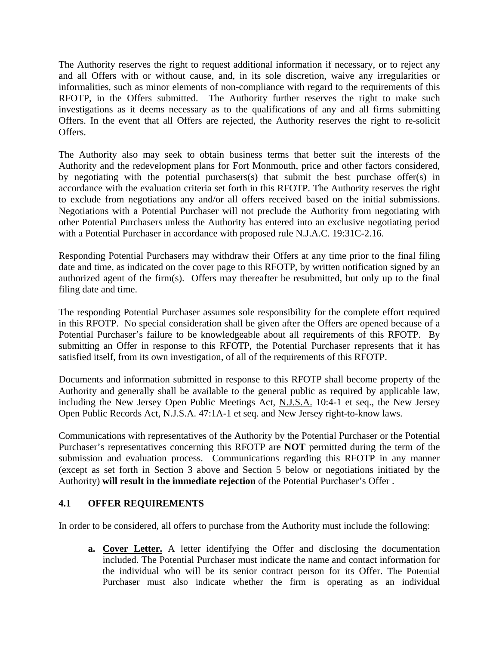The Authority reserves the right to request additional information if necessary, or to reject any and all Offers with or without cause, and, in its sole discretion, waive any irregularities or informalities, such as minor elements of non-compliance with regard to the requirements of this RFOTP, in the Offers submitted. The Authority further reserves the right to make such investigations as it deems necessary as to the qualifications of any and all firms submitting Offers. In the event that all Offers are rejected, the Authority reserves the right to re-solicit Offers.

The Authority also may seek to obtain business terms that better suit the interests of the Authority and the redevelopment plans for Fort Monmouth, price and other factors considered, by negotiating with the potential purchasers(s) that submit the best purchase offer(s) in accordance with the evaluation criteria set forth in this RFOTP. The Authority reserves the right to exclude from negotiations any and/or all offers received based on the initial submissions. Negotiations with a Potential Purchaser will not preclude the Authority from negotiating with other Potential Purchasers unless the Authority has entered into an exclusive negotiating period with a Potential Purchaser in accordance with proposed rule N.J.A.C. 19:31C-2.16.

Responding Potential Purchasers may withdraw their Offers at any time prior to the final filing date and time, as indicated on the cover page to this RFOTP, by written notification signed by an authorized agent of the firm(s). Offers may thereafter be resubmitted, but only up to the final filing date and time.

The responding Potential Purchaser assumes sole responsibility for the complete effort required in this RFOTP. No special consideration shall be given after the Offers are opened because of a Potential Purchaser's failure to be knowledgeable about all requirements of this RFOTP. By submitting an Offer in response to this RFOTP, the Potential Purchaser represents that it has satisfied itself, from its own investigation, of all of the requirements of this RFOTP.

Documents and information submitted in response to this RFOTP shall become property of the Authority and generally shall be available to the general public as required by applicable law, including the New Jersey Open Public Meetings Act, N.J.S.A. 10:4-1 et seq., the New Jersey Open Public Records Act, N.J.S.A. 47:1A-1 et seq. and New Jersey right-to-know laws.

Communications with representatives of the Authority by the Potential Purchaser or the Potential Purchaser's representatives concerning this RFOTP are **NOT** permitted during the term of the submission and evaluation process. Communications regarding this RFOTP in any manner (except as set forth in Section 3 above and Section 5 below or negotiations initiated by the Authority) **will result in the immediate rejection** of the Potential Purchaser's Offer .

### **4.1 OFFER REQUIREMENTS**

In order to be considered, all offers to purchase from the Authority must include the following:

**a. Cover Letter.** A letter identifying the Offer and disclosing the documentation included. The Potential Purchaser must indicate the name and contact information for the individual who will be its senior contract person for its Offer. The Potential Purchaser must also indicate whether the firm is operating as an individual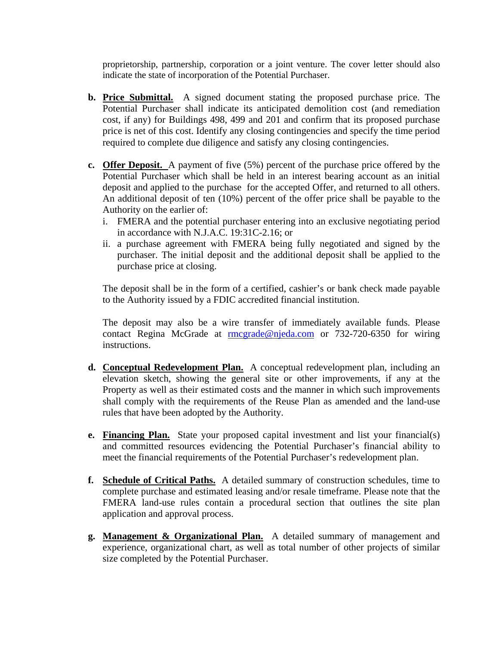proprietorship, partnership, corporation or a joint venture. The cover letter should also indicate the state of incorporation of the Potential Purchaser.

- **b. Price Submittal.** A signed document stating the proposed purchase price. The Potential Purchaser shall indicate its anticipated demolition cost (and remediation cost, if any) for Buildings 498, 499 and 201 and confirm that its proposed purchase price is net of this cost. Identify any closing contingencies and specify the time period required to complete due diligence and satisfy any closing contingencies.
- **c. Offer Deposit.** A payment of five (5%) percent of the purchase price offered by the Potential Purchaser which shall be held in an interest bearing account as an initial deposit and applied to the purchase for the accepted Offer, and returned to all others. An additional deposit of ten (10%) percent of the offer price shall be payable to the Authority on the earlier of:
	- i. FMERA and the potential purchaser entering into an exclusive negotiating period in accordance with N.J.A.C. 19:31C-2.16; or
	- ii. a purchase agreement with FMERA being fully negotiated and signed by the purchaser. The initial deposit and the additional deposit shall be applied to the purchase price at closing.

The deposit shall be in the form of a certified, cashier's or bank check made payable to the Authority issued by a FDIC accredited financial institution.

The deposit may also be a wire transfer of immediately available funds. Please contact Regina McGrade at rmcgrade@njeda.com or 732-720-6350 for wiring instructions.

- **d. Conceptual Redevelopment Plan.** A conceptual redevelopment plan, including an elevation sketch, showing the general site or other improvements, if any at the Property as well as their estimated costs and the manner in which such improvements shall comply with the requirements of the Reuse Plan as amended and the land-use rules that have been adopted by the Authority.
- **e. Financing Plan.** State your proposed capital investment and list your financial(s) and committed resources evidencing the Potential Purchaser's financial ability to meet the financial requirements of the Potential Purchaser's redevelopment plan.
- **f. Schedule of Critical Paths.** A detailed summary of construction schedules, time to complete purchase and estimated leasing and/or resale timeframe. Please note that the FMERA land-use rules contain a procedural section that outlines the site plan application and approval process.
- **g. Management & Organizational Plan.** A detailed summary of management and experience, organizational chart, as well as total number of other projects of similar size completed by the Potential Purchaser.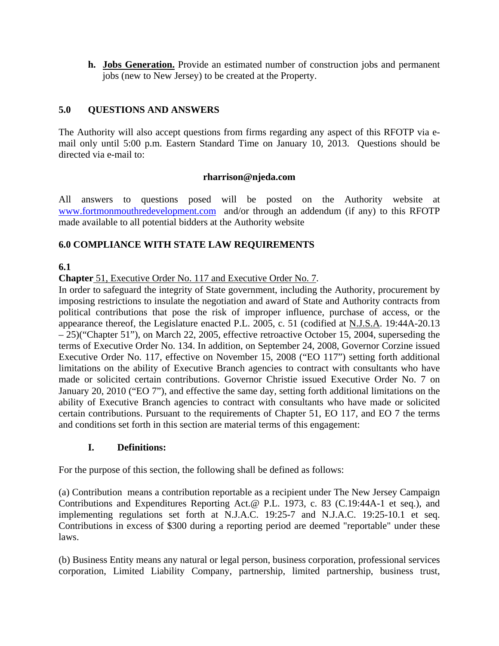**h. Jobs Generation.** Provide an estimated number of construction jobs and permanent jobs (new to New Jersey) to be created at the Property.

## **5.0 QUESTIONS AND ANSWERS**

The Authority will also accept questions from firms regarding any aspect of this RFOTP via email only until 5:00 p.m. Eastern Standard Time on January 10, 2013. Questions should be directed via e-mail to:

#### **rharrison@njeda.com**

All answers to questions posed will be posted on the Authority website at www.fortmonmouthredevelopment.com and/or through an addendum (if any) to this RFOTP made available to all potential bidders at the Authority website

### **6.0 COMPLIANCE WITH STATE LAW REQUIREMENTS**

## **6.1**

**Chapter** 51, Executive Order No. 117 and Executive Order No. 7.

In order to safeguard the integrity of State government, including the Authority, procurement by imposing restrictions to insulate the negotiation and award of State and Authority contracts from political contributions that pose the risk of improper influence, purchase of access, or the appearance thereof, the Legislature enacted P.L. 2005, c. 51 (codified at N.J.S.A. 19:44A-20.13 – 25)("Chapter 51"), on March 22, 2005, effective retroactive October 15, 2004, superseding the terms of Executive Order No. 134. In addition, on September 24, 2008, Governor Corzine issued Executive Order No. 117, effective on November 15, 2008 ("EO 117") setting forth additional limitations on the ability of Executive Branch agencies to contract with consultants who have made or solicited certain contributions. Governor Christie issued Executive Order No. 7 on January 20, 2010 ("EO 7"), and effective the same day, setting forth additional limitations on the ability of Executive Branch agencies to contract with consultants who have made or solicited certain contributions. Pursuant to the requirements of Chapter 51, EO 117, and EO 7 the terms and conditions set forth in this section are material terms of this engagement:

### **I. Definitions:**

For the purpose of this section, the following shall be defined as follows:

(a) Contribution means a contribution reportable as a recipient under The New Jersey Campaign Contributions and Expenditures Reporting Act.@ P.L. 1973, c. 83 (C.19:44A-1 et seq.), and implementing regulations set forth at N.J.A.C. 19:25-7 and N.J.A.C. 19:25-10.1 et seq. Contributions in excess of \$300 during a reporting period are deemed "reportable" under these laws.

(b) Business Entity means any natural or legal person, business corporation, professional services corporation, Limited Liability Company, partnership, limited partnership, business trust,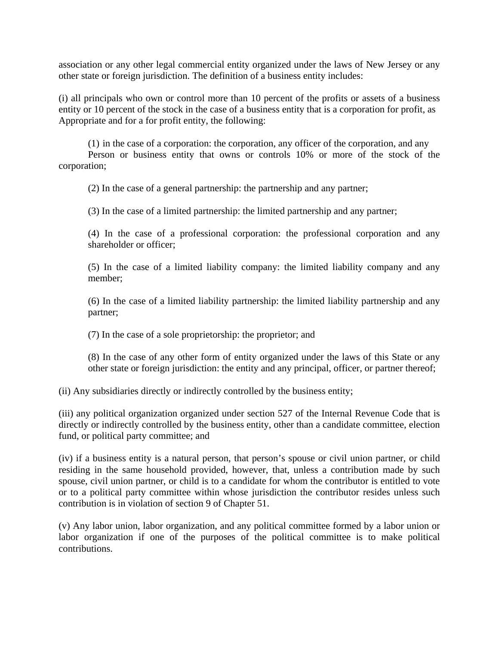association or any other legal commercial entity organized under the laws of New Jersey or any other state or foreign jurisdiction. The definition of a business entity includes:

(i) all principals who own or control more than 10 percent of the profits or assets of a business entity or 10 percent of the stock in the case of a business entity that is a corporation for profit, as Appropriate and for a for profit entity, the following:

(1) in the case of a corporation: the corporation, any officer of the corporation, and any Person or business entity that owns or controls 10% or more of the stock of the corporation;

(2) In the case of a general partnership: the partnership and any partner;

(3) In the case of a limited partnership: the limited partnership and any partner;

(4) In the case of a professional corporation: the professional corporation and any shareholder or officer;

(5) In the case of a limited liability company: the limited liability company and any member;

(6) In the case of a limited liability partnership: the limited liability partnership and any partner;

(7) In the case of a sole proprietorship: the proprietor; and

(8) In the case of any other form of entity organized under the laws of this State or any other state or foreign jurisdiction: the entity and any principal, officer, or partner thereof;

(ii) Any subsidiaries directly or indirectly controlled by the business entity;

(iii) any political organization organized under section 527 of the Internal Revenue Code that is directly or indirectly controlled by the business entity, other than a candidate committee, election fund, or political party committee; and

(iv) if a business entity is a natural person, that person's spouse or civil union partner, or child residing in the same household provided, however, that, unless a contribution made by such spouse, civil union partner, or child is to a candidate for whom the contributor is entitled to vote or to a political party committee within whose jurisdiction the contributor resides unless such contribution is in violation of section 9 of Chapter 51.

(v) Any labor union, labor organization, and any political committee formed by a labor union or labor organization if one of the purposes of the political committee is to make political contributions.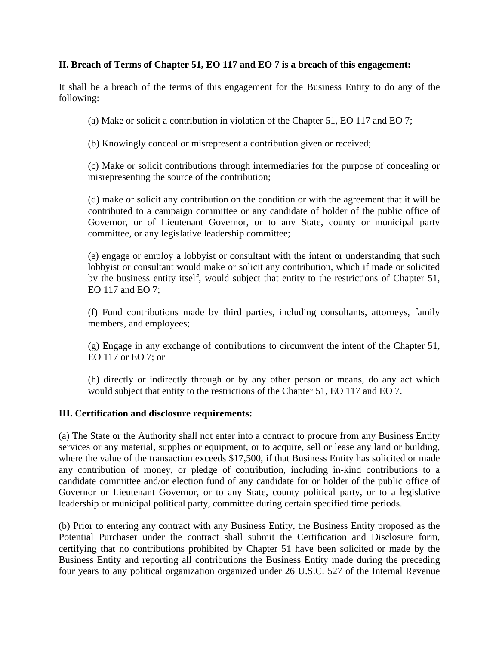#### **II. Breach of Terms of Chapter 51, EO 117 and EO 7 is a breach of this engagement:**

It shall be a breach of the terms of this engagement for the Business Entity to do any of the following:

(a) Make or solicit a contribution in violation of the Chapter 51, EO 117 and EO 7;

(b) Knowingly conceal or misrepresent a contribution given or received;

(c) Make or solicit contributions through intermediaries for the purpose of concealing or misrepresenting the source of the contribution;

(d) make or solicit any contribution on the condition or with the agreement that it will be contributed to a campaign committee or any candidate of holder of the public office of Governor, or of Lieutenant Governor, or to any State, county or municipal party committee, or any legislative leadership committee;

(e) engage or employ a lobbyist or consultant with the intent or understanding that such lobbyist or consultant would make or solicit any contribution, which if made or solicited by the business entity itself, would subject that entity to the restrictions of Chapter 51, EO 117 and EO 7;

(f) Fund contributions made by third parties, including consultants, attorneys, family members, and employees;

(g) Engage in any exchange of contributions to circumvent the intent of the Chapter 51, EO 117 or EO 7; or

(h) directly or indirectly through or by any other person or means, do any act which would subject that entity to the restrictions of the Chapter 51, EO 117 and EO 7.

#### **III. Certification and disclosure requirements:**

(a) The State or the Authority shall not enter into a contract to procure from any Business Entity services or any material, supplies or equipment, or to acquire, sell or lease any land or building, where the value of the transaction exceeds \$17,500, if that Business Entity has solicited or made any contribution of money, or pledge of contribution, including in-kind contributions to a candidate committee and/or election fund of any candidate for or holder of the public office of Governor or Lieutenant Governor, or to any State, county political party, or to a legislative leadership or municipal political party, committee during certain specified time periods.

(b) Prior to entering any contract with any Business Entity, the Business Entity proposed as the Potential Purchaser under the contract shall submit the Certification and Disclosure form, certifying that no contributions prohibited by Chapter 51 have been solicited or made by the Business Entity and reporting all contributions the Business Entity made during the preceding four years to any political organization organized under 26 U.S.C. 527 of the Internal Revenue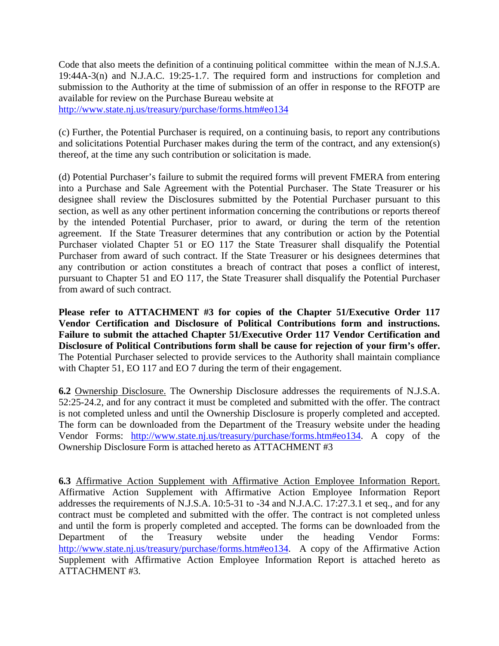Code that also meets the definition of a continuing political committee within the mean of N.J.S.A. 19:44A-3(n) and N.J.A.C. 19:25-1.7. The required form and instructions for completion and submission to the Authority at the time of submission of an offer in response to the RFOTP are available for review on the Purchase Bureau website at http://www.state.nj.us/treasury/purchase/forms.htm#eo134

(c) Further, the Potential Purchaser is required, on a continuing basis, to report any contributions and solicitations Potential Purchaser makes during the term of the contract, and any extension(s) thereof, at the time any such contribution or solicitation is made.

(d) Potential Purchaser's failure to submit the required forms will prevent FMERA from entering into a Purchase and Sale Agreement with the Potential Purchaser. The State Treasurer or his designee shall review the Disclosures submitted by the Potential Purchaser pursuant to this section, as well as any other pertinent information concerning the contributions or reports thereof by the intended Potential Purchaser, prior to award, or during the term of the retention agreement. If the State Treasurer determines that any contribution or action by the Potential Purchaser violated Chapter 51 or EO 117 the State Treasurer shall disqualify the Potential Purchaser from award of such contract. If the State Treasurer or his designees determines that any contribution or action constitutes a breach of contract that poses a conflict of interest, pursuant to Chapter 51 and EO 117, the State Treasurer shall disqualify the Potential Purchaser from award of such contract.

**Please refer to ATTACHMENT #3 for copies of the Chapter 51/Executive Order 117 Vendor Certification and Disclosure of Political Contributions form and instructions. Failure to submit the attached Chapter 51/Executive Order 117 Vendor Certification and Disclosure of Political Contributions form shall be cause for rejection of your firm's offer.**  The Potential Purchaser selected to provide services to the Authority shall maintain compliance with Chapter 51, EO 117 and EO 7 during the term of their engagement.

**6.2** Ownership Disclosure. The Ownership Disclosure addresses the requirements of N.J.S.A. 52:25-24.2, and for any contract it must be completed and submitted with the offer. The contract is not completed unless and until the Ownership Disclosure is properly completed and accepted. The form can be downloaded from the Department of the Treasury website under the heading Vendor Forms: http://www.state.nj.us/treasury/purchase/forms.htm#eo134. A copy of the Ownership Disclosure Form is attached hereto as ATTACHMENT #3

**6.3** Affirmative Action Supplement with Affirmative Action Employee Information Report. Affirmative Action Supplement with Affirmative Action Employee Information Report addresses the requirements of N.J.S.A. 10:5-31 to -34 and N.J.A.C. 17:27.3.1 et seq., and for any contract must be completed and submitted with the offer. The contract is not completed unless and until the form is properly completed and accepted. The forms can be downloaded from the Department of the Treasury website under the heading Vendor Forms: http://www.state.nj.us/treasury/purchase/forms.htm#eo134. A copy of the Affirmative Action Supplement with Affirmative Action Employee Information Report is attached hereto as ATTACHMENT #3.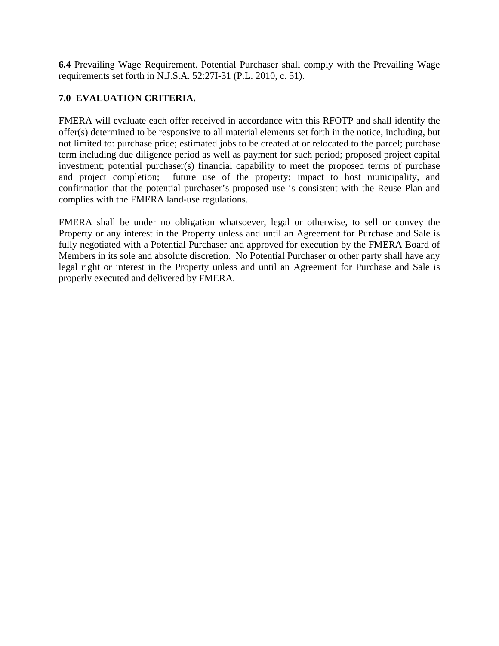**6.4** Prevailing Wage Requirement. Potential Purchaser shall comply with the Prevailing Wage requirements set forth in N.J.S.A. 52:27I-31 (P.L. 2010, c. 51).

## **7.0 EVALUATION CRITERIA.**

FMERA will evaluate each offer received in accordance with this RFOTP and shall identify the offer(s) determined to be responsive to all material elements set forth in the notice, including, but not limited to: purchase price; estimated jobs to be created at or relocated to the parcel; purchase term including due diligence period as well as payment for such period; proposed project capital investment; potential purchaser(s) financial capability to meet the proposed terms of purchase and project completion; future use of the property; impact to host municipality, and confirmation that the potential purchaser's proposed use is consistent with the Reuse Plan and complies with the FMERA land-use regulations.

FMERA shall be under no obligation whatsoever, legal or otherwise, to sell or convey the Property or any interest in the Property unless and until an Agreement for Purchase and Sale is fully negotiated with a Potential Purchaser and approved for execution by the FMERA Board of Members in its sole and absolute discretion. No Potential Purchaser or other party shall have any legal right or interest in the Property unless and until an Agreement for Purchase and Sale is properly executed and delivered by FMERA.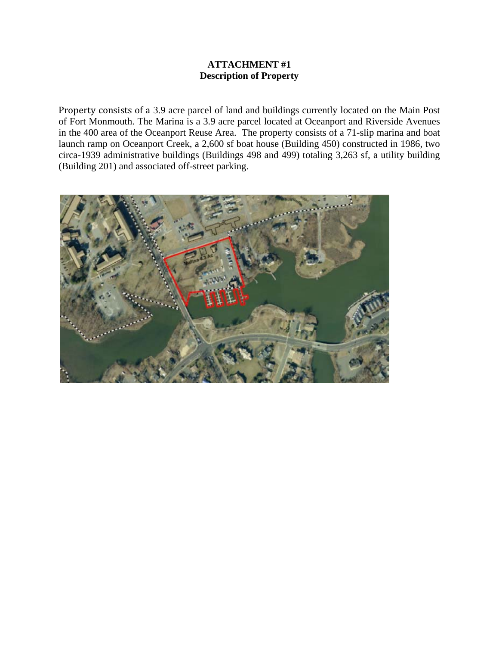#### **ATTACHMENT #1 Description of Property**

Property consists of a 3.9 acre parcel of land and buildings currently located on the Main Post of Fort Monmouth. The Marina is a 3.9 acre parcel located at Oceanport and Riverside Avenues in the 400 area of the Oceanport Reuse Area. The property consists of a 71-slip marina and boat launch ramp on Oceanport Creek, a 2,600 sf boat house (Building 450) constructed in 1986, two circa-1939 administrative buildings (Buildings 498 and 499) totaling 3,263 sf, a utility building (Building 201) and associated off-street parking.

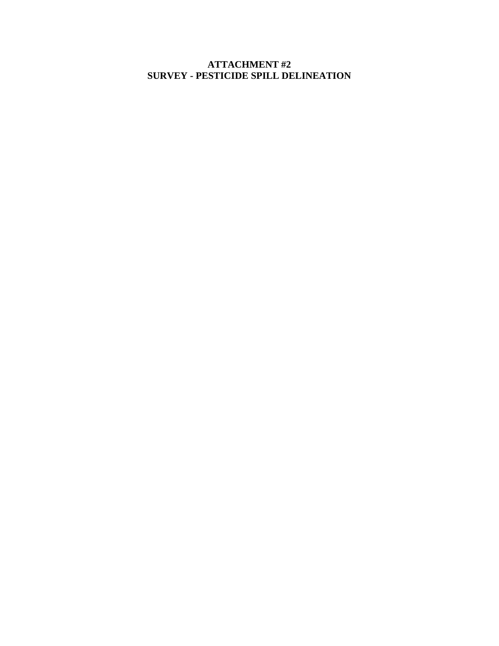**ATTACHMENT #2 SURVEY - PESTICIDE SPILL DELINEATION**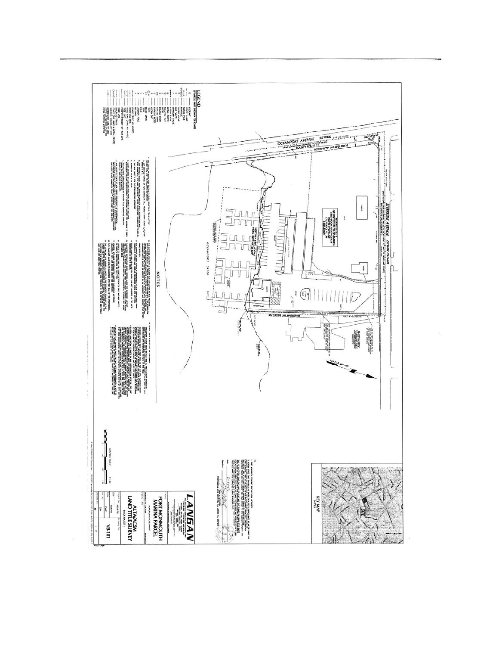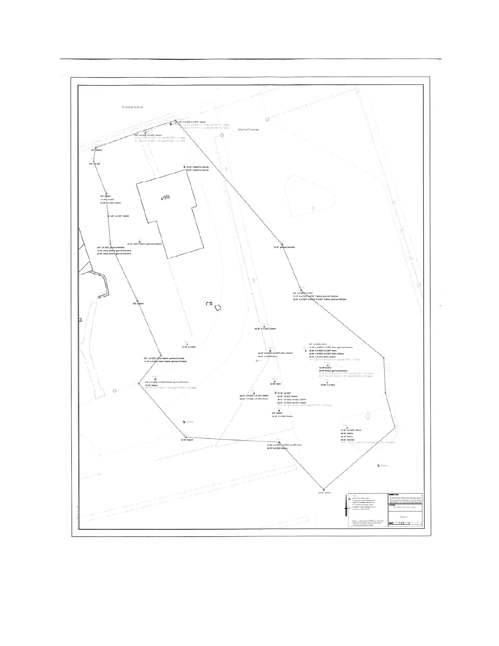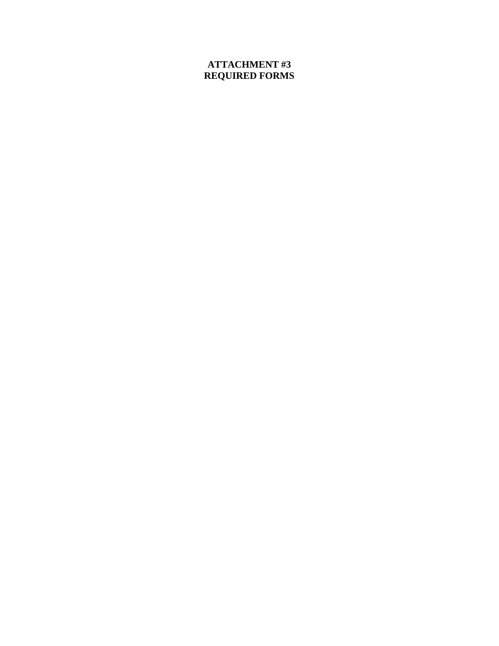# **ATTACHMENT #3 REQUIRED FORMS**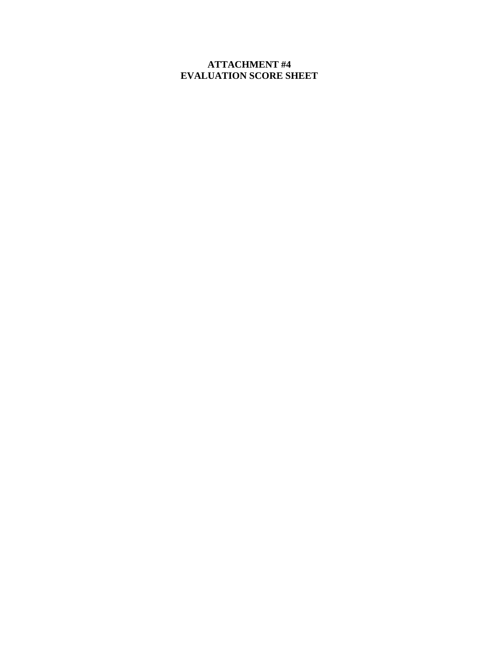## **ATTACHMENT #4 EVALUATION SCORE SHEET**